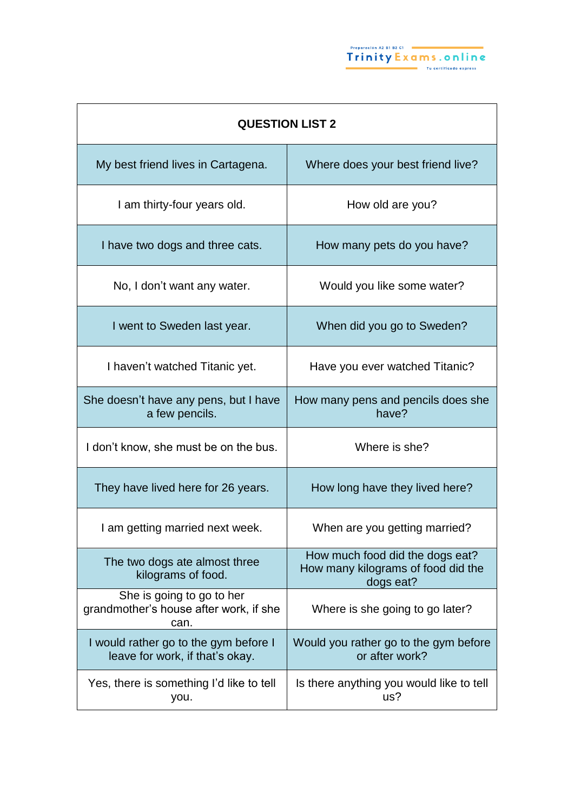| <b>QUESTION LIST 2</b>                                                      |                                                                                    |
|-----------------------------------------------------------------------------|------------------------------------------------------------------------------------|
| My best friend lives in Cartagena.                                          | Where does your best friend live?                                                  |
| I am thirty-four years old.                                                 | How old are you?                                                                   |
| I have two dogs and three cats.                                             | How many pets do you have?                                                         |
| No, I don't want any water.                                                 | Would you like some water?                                                         |
| I went to Sweden last year.                                                 | When did you go to Sweden?                                                         |
| I haven't watched Titanic yet.                                              | Have you ever watched Titanic?                                                     |
| She doesn't have any pens, but I have<br>a few pencils.                     | How many pens and pencils does she<br>have?                                        |
| I don't know, she must be on the bus.                                       | Where is she?                                                                      |
| They have lived here for 26 years.                                          | How long have they lived here?                                                     |
| I am getting married next week.                                             | When are you getting married?                                                      |
| The two dogs ate almost three<br>kilograms of food.                         | How much food did the dogs eat?<br>How many kilograms of food did the<br>dogs eat? |
| She is going to go to her<br>grandmother's house after work, if she<br>can. | Where is she going to go later?                                                    |
| I would rather go to the gym before I<br>leave for work, if that's okay.    | Would you rather go to the gym before<br>or after work?                            |
| Yes, there is something I'd like to tell<br>you.                            | Is there anything you would like to tell<br>us?                                    |